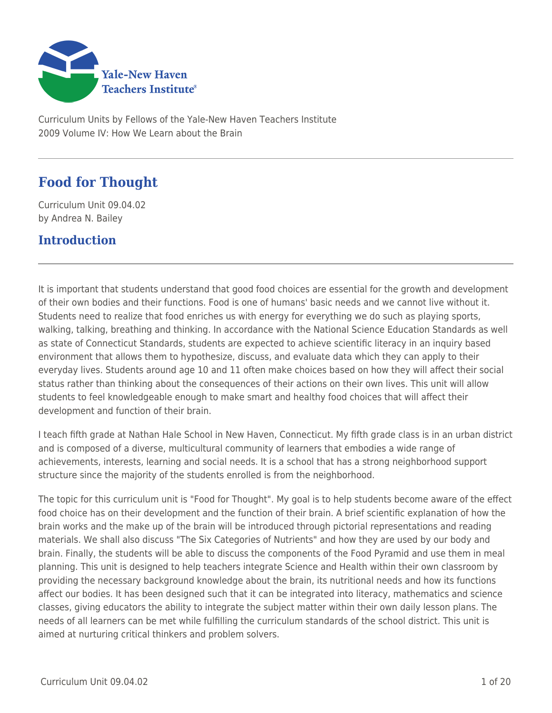

Curriculum Units by Fellows of the Yale-New Haven Teachers Institute 2009 Volume IV: How We Learn about the Brain

# **Food for Thought**

Curriculum Unit 09.04.02 by Andrea N. Bailey

### **Introduction**

It is important that students understand that good food choices are essential for the growth and development of their own bodies and their functions. Food is one of humans' basic needs and we cannot live without it. Students need to realize that food enriches us with energy for everything we do such as playing sports, walking, talking, breathing and thinking. In accordance with the National Science Education Standards as well as state of Connecticut Standards, students are expected to achieve scientific literacy in an inquiry based environment that allows them to hypothesize, discuss, and evaluate data which they can apply to their everyday lives. Students around age 10 and 11 often make choices based on how they will affect their social status rather than thinking about the consequences of their actions on their own lives. This unit will allow students to feel knowledgeable enough to make smart and healthy food choices that will affect their development and function of their brain.

I teach fifth grade at Nathan Hale School in New Haven, Connecticut. My fifth grade class is in an urban district and is composed of a diverse, multicultural community of learners that embodies a wide range of achievements, interests, learning and social needs. It is a school that has a strong neighborhood support structure since the majority of the students enrolled is from the neighborhood.

The topic for this curriculum unit is "Food for Thought". My goal is to help students become aware of the effect food choice has on their development and the function of their brain. A brief scientific explanation of how the brain works and the make up of the brain will be introduced through pictorial representations and reading materials. We shall also discuss "The Six Categories of Nutrients" and how they are used by our body and brain. Finally, the students will be able to discuss the components of the Food Pyramid and use them in meal planning. This unit is designed to help teachers integrate Science and Health within their own classroom by providing the necessary background knowledge about the brain, its nutritional needs and how its functions affect our bodies. It has been designed such that it can be integrated into literacy, mathematics and science classes, giving educators the ability to integrate the subject matter within their own daily lesson plans. The needs of all learners can be met while fulfilling the curriculum standards of the school district. This unit is aimed at nurturing critical thinkers and problem solvers.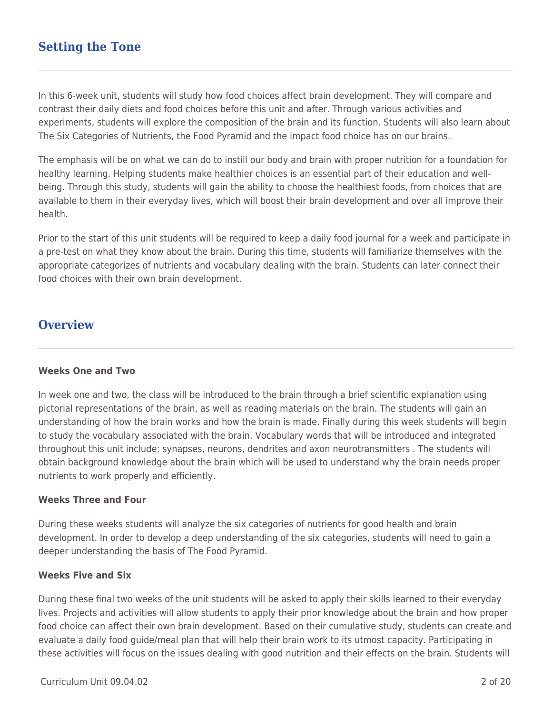### **Setting the Tone**

In this 6-week unit, students will study how food choices affect brain development. They will compare and contrast their daily diets and food choices before this unit and after. Through various activities and experiments, students will explore the composition of the brain and its function. Students will also learn about The Six Categories of Nutrients, the Food Pyramid and the impact food choice has on our brains.

The emphasis will be on what we can do to instill our body and brain with proper nutrition for a foundation for healthy learning. Helping students make healthier choices is an essential part of their education and wellbeing. Through this study, students will gain the ability to choose the healthiest foods, from choices that are available to them in their everyday lives, which will boost their brain development and over all improve their health.

Prior to the start of this unit students will be required to keep a daily food journal for a week and participate in a pre-test on what they know about the brain. During this time, students will familiarize themselves with the appropriate categorizes of nutrients and vocabulary dealing with the brain. Students can later connect their food choices with their own brain development.

#### **Overview**

#### **Weeks One and Two**

In week one and two, the class will be introduced to the brain through a brief scientific explanation using pictorial representations of the brain, as well as reading materials on the brain. The students will gain an understanding of how the brain works and how the brain is made. Finally during this week students will begin to study the vocabulary associated with the brain. Vocabulary words that will be introduced and integrated throughout this unit include: synapses, neurons, dendrites and axon neurotransmitters . The students will obtain background knowledge about the brain which will be used to understand why the brain needs proper nutrients to work properly and efficiently.

#### **Weeks Three and Four**

During these weeks students will analyze the six categories of nutrients for good health and brain development. In order to develop a deep understanding of the six categories, students will need to gain a deeper understanding the basis of The Food Pyramid.

#### **Weeks Five and Six**

During these final two weeks of the unit students will be asked to apply their skills learned to their everyday lives. Projects and activities will allow students to apply their prior knowledge about the brain and how proper food choice can affect their own brain development. Based on their cumulative study, students can create and evaluate a daily food guide/meal plan that will help their brain work to its utmost capacity. Participating in these activities will focus on the issues dealing with good nutrition and their effects on the brain. Students will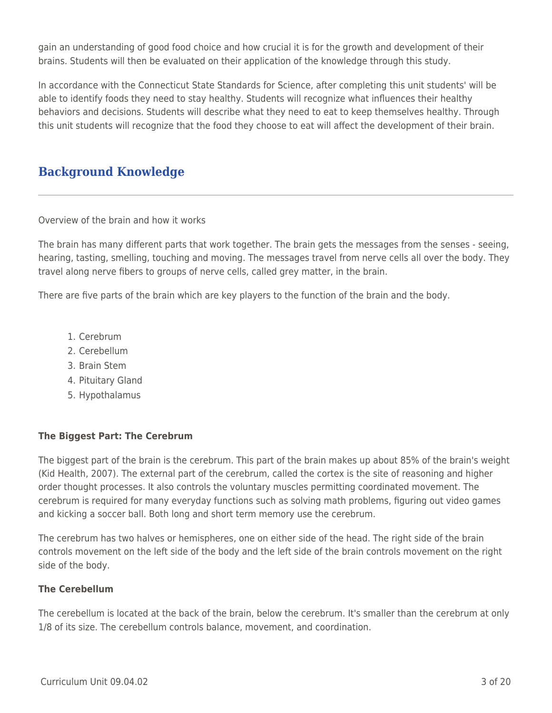gain an understanding of good food choice and how crucial it is for the growth and development of their brains. Students will then be evaluated on their application of the knowledge through this study.

In accordance with the Connecticut State Standards for Science, after completing this unit students' will be able to identify foods they need to stay healthy. Students will recognize what influences their healthy behaviors and decisions. Students will describe what they need to eat to keep themselves healthy. Through this unit students will recognize that the food they choose to eat will affect the development of their brain.

# **Background Knowledge**

Overview of the brain and how it works

The brain has many different parts that work together. The brain gets the messages from the senses - seeing, hearing, tasting, smelling, touching and moving. The messages travel from nerve cells all over the body. They travel along nerve fibers to groups of nerve cells, called grey matter, in the brain.

There are five parts of the brain which are key players to the function of the brain and the body.

- 1. Cerebrum
- 2. Cerebellum
- 3. Brain Stem
- 4. Pituitary Gland
- 5. Hypothalamus

#### **The Biggest Part: The Cerebrum**

The biggest part of the brain is the cerebrum. This part of the brain makes up about 85% of the brain's weight (Kid Health, 2007). The external part of the cerebrum, called the cortex is the site of reasoning and higher order thought processes. It also controls the voluntary muscles permitting coordinated movement. The cerebrum is required for many everyday functions such as solving math problems, figuring out video games and kicking a soccer ball. Both long and short term memory use the cerebrum.

The cerebrum has two halves or hemispheres, one on either side of the head. The right side of the brain controls movement on the left side of the body and the left side of the brain controls movement on the right side of the body.

#### **The Cerebellum**

The cerebellum is located at the back of the brain, below the cerebrum. It's smaller than the cerebrum at only 1/8 of its size. The cerebellum controls balance, movement, and coordination.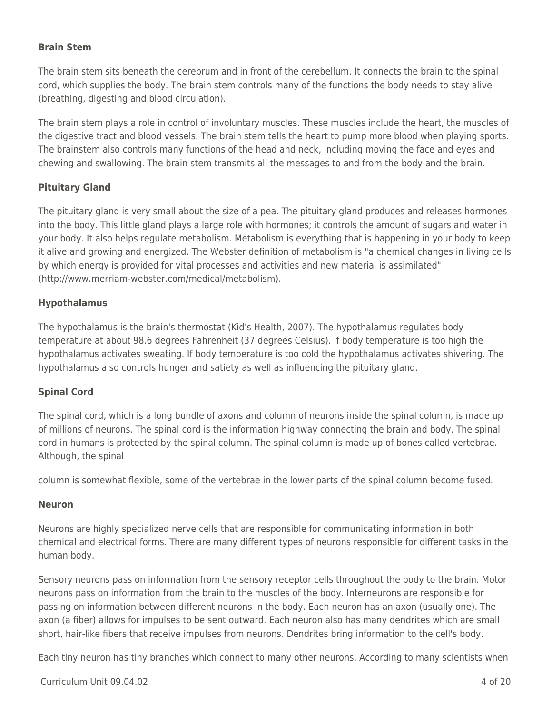#### **Brain Stem**

The brain stem sits beneath the cerebrum and in front of the cerebellum. It connects the brain to the spinal cord, which supplies the body. The brain stem controls many of the functions the body needs to stay alive (breathing, digesting and blood circulation).

The brain stem plays a role in control of involuntary muscles. These muscles include the heart, the muscles of the digestive tract and blood vessels. The brain stem tells the heart to pump more blood when playing sports. The brainstem also controls many functions of the head and neck, including moving the face and eyes and chewing and swallowing. The brain stem transmits all the messages to and from the body and the brain.

#### **Pituitary Gland**

The pituitary gland is very small about the size of a pea. The pituitary gland produces and releases hormones into the body. This little gland plays a large role with hormones; it controls the amount of sugars and water in your body. It also helps regulate metabolism. Metabolism is everything that is happening in your body to keep it alive and growing and energized. The Webster definition of metabolism is "a chemical changes in living cells by which energy is provided for vital processes and activities and new material is assimilated" (http://www.merriam-webster.com/medical/metabolism).

#### **Hypothalamus**

The hypothalamus is the brain's thermostat (Kid's Health, 2007). The hypothalamus regulates body temperature at about 98.6 degrees Fahrenheit (37 degrees Celsius). If body temperature is too high the hypothalamus activates sweating. If body temperature is too cold the hypothalamus activates shivering. The hypothalamus also controls hunger and satiety as well as influencing the pituitary gland.

#### **Spinal Cord**

The spinal cord, which is a long bundle of axons and column of neurons inside the spinal column, is made up of millions of neurons. The spinal cord is the information highway connecting the brain and body. The spinal cord in humans is protected by the spinal column. The spinal column is made up of bones called vertebrae. Although, the spinal

column is somewhat flexible, some of the vertebrae in the lower parts of the spinal column become fused.

#### **Neuron**

Neurons are highly specialized nerve cells that are responsible for communicating information in both chemical and electrical forms. There are many different types of neurons responsible for different tasks in the human body.

Sensory neurons pass on information from the sensory receptor cells throughout the body to the brain. Motor neurons pass on information from the brain to the muscles of the body. Interneurons are responsible for passing on information between different neurons in the body. Each neuron has an axon (usually one). The axon (a fiber) allows for impulses to be sent outward. Each neuron also has many dendrites which are small short, hair-like fibers that receive impulses from neurons. Dendrites bring information to the cell's body.

Each tiny neuron has tiny branches which connect to many other neurons. According to many scientists when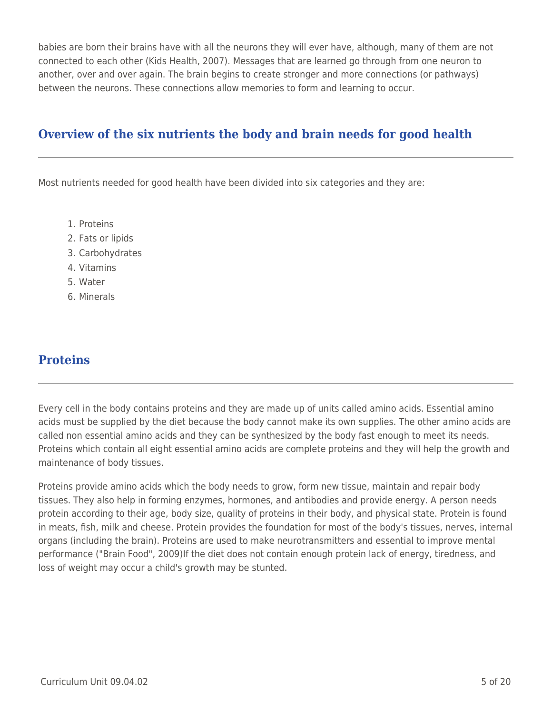babies are born their brains have with all the neurons they will ever have, although, many of them are not connected to each other (Kids Health, 2007). Messages that are learned go through from one neuron to another, over and over again. The brain begins to create stronger and more connections (or pathways) between the neurons. These connections allow memories to form and learning to occur.

## **Overview of the six nutrients the body and brain needs for good health**

Most nutrients needed for good health have been divided into six categories and they are:

- 1. Proteins
- 2. Fats or lipids
- 3. Carbohydrates
- 4. Vitamins
- 5. Water
- 6. Minerals

### **Proteins**

Every cell in the body contains proteins and they are made up of units called amino acids. Essential amino acids must be supplied by the diet because the body cannot make its own supplies. The other amino acids are called non essential amino acids and they can be synthesized by the body fast enough to meet its needs. Proteins which contain all eight essential amino acids are complete proteins and they will help the growth and maintenance of body tissues.

Proteins provide amino acids which the body needs to grow, form new tissue, maintain and repair body tissues. They also help in forming enzymes, hormones, and antibodies and provide energy. A person needs protein according to their age, body size, quality of proteins in their body, and physical state. Protein is found in meats, fish, milk and cheese. Protein provides the foundation for most of the body's tissues, nerves, internal organs (including the brain). Proteins are used to make neurotransmitters and essential to improve mental performance ("Brain Food", 2009)If the diet does not contain enough protein lack of energy, tiredness, and loss of weight may occur a child's growth may be stunted.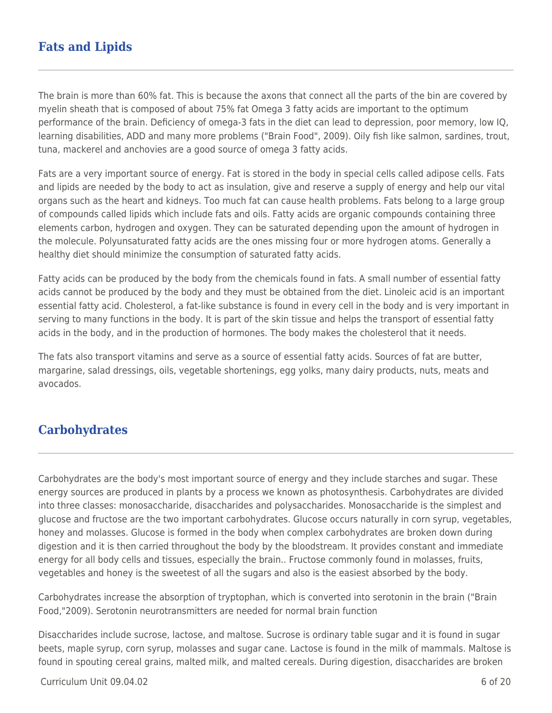## **Fats and Lipids**

The brain is more than 60% fat. This is because the axons that connect all the parts of the bin are covered by myelin sheath that is composed of about 75% fat Omega 3 fatty acids are important to the optimum performance of the brain. Deficiency of omega-3 fats in the diet can lead to depression, poor memory, low IQ, learning disabilities, ADD and many more problems ("Brain Food", 2009). Oily fish like salmon, sardines, trout, tuna, mackerel and anchovies are a good source of omega 3 fatty acids.

Fats are a very important source of energy. Fat is stored in the body in special cells called adipose cells. Fats and lipids are needed by the body to act as insulation, give and reserve a supply of energy and help our vital organs such as the heart and kidneys. Too much fat can cause health problems. Fats belong to a large group of compounds called lipids which include fats and oils. Fatty acids are organic compounds containing three elements carbon, hydrogen and oxygen. They can be saturated depending upon the amount of hydrogen in the molecule. Polyunsaturated fatty acids are the ones missing four or more hydrogen atoms. Generally a healthy diet should minimize the consumption of saturated fatty acids.

Fatty acids can be produced by the body from the chemicals found in fats. A small number of essential fatty acids cannot be produced by the body and they must be obtained from the diet. Linoleic acid is an important essential fatty acid. Cholesterol, a fat-like substance is found in every cell in the body and is very important in serving to many functions in the body. It is part of the skin tissue and helps the transport of essential fatty acids in the body, and in the production of hormones. The body makes the cholesterol that it needs.

The fats also transport vitamins and serve as a source of essential fatty acids. Sources of fat are butter, margarine, salad dressings, oils, vegetable shortenings, egg yolks, many dairy products, nuts, meats and avocados.

### **Carbohydrates**

Carbohydrates are the body's most important source of energy and they include starches and sugar. These energy sources are produced in plants by a process we known as photosynthesis. Carbohydrates are divided into three classes: monosaccharide, disaccharides and polysaccharides. Monosaccharide is the simplest and glucose and fructose are the two important carbohydrates. Glucose occurs naturally in corn syrup, vegetables, honey and molasses. Glucose is formed in the body when complex carbohydrates are broken down during digestion and it is then carried throughout the body by the bloodstream. It provides constant and immediate energy for all body cells and tissues, especially the brain.. Fructose commonly found in molasses, fruits, vegetables and honey is the sweetest of all the sugars and also is the easiest absorbed by the body.

Carbohydrates increase the absorption of tryptophan, which is converted into serotonin in the brain ("Brain Food,"2009). Serotonin neurotransmitters are needed for normal brain function

Disaccharides include sucrose, lactose, and maltose. Sucrose is ordinary table sugar and it is found in sugar beets, maple syrup, corn syrup, molasses and sugar cane. Lactose is found in the milk of mammals. Maltose is found in spouting cereal grains, malted milk, and malted cereals. During digestion, disaccharides are broken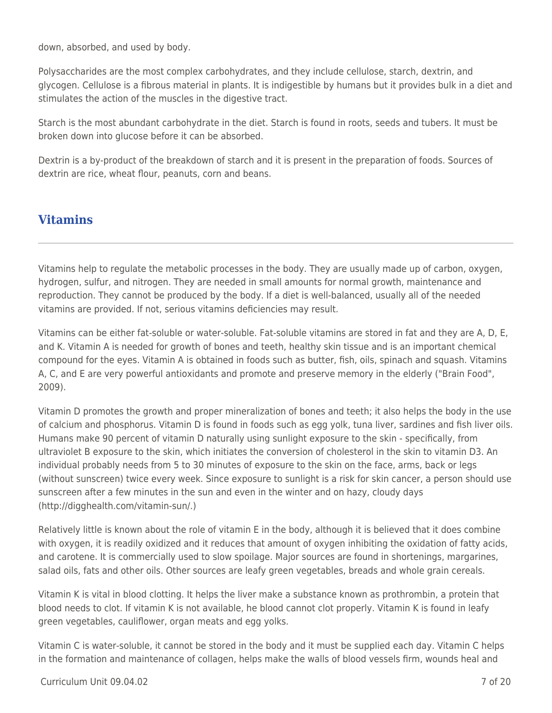down, absorbed, and used by body.

Polysaccharides are the most complex carbohydrates, and they include cellulose, starch, dextrin, and glycogen. Cellulose is a fibrous material in plants. It is indigestible by humans but it provides bulk in a diet and stimulates the action of the muscles in the digestive tract.

Starch is the most abundant carbohydrate in the diet. Starch is found in roots, seeds and tubers. It must be broken down into glucose before it can be absorbed.

Dextrin is a by-product of the breakdown of starch and it is present in the preparation of foods. Sources of dextrin are rice, wheat flour, peanuts, corn and beans.

### **Vitamins**

Vitamins help to regulate the metabolic processes in the body. They are usually made up of carbon, oxygen, hydrogen, sulfur, and nitrogen. They are needed in small amounts for normal growth, maintenance and reproduction. They cannot be produced by the body. If a diet is well-balanced, usually all of the needed vitamins are provided. If not, serious vitamins deficiencies may result.

Vitamins can be either fat-soluble or water-soluble. Fat-soluble vitamins are stored in fat and they are A, D, E, and K. Vitamin A is needed for growth of bones and teeth, healthy skin tissue and is an important chemical compound for the eyes. Vitamin A is obtained in foods such as butter, fish, oils, spinach and squash. Vitamins A, C, and E are very powerful antioxidants and promote and preserve memory in the elderly ("Brain Food", 2009).

Vitamin D promotes the growth and proper mineralization of bones and teeth; it also helps the body in the use of calcium and phosphorus. Vitamin D is found in foods such as egg yolk, tuna liver, sardines and fish liver oils. Humans make 90 percent of vitamin D naturally using sunlight exposure to the skin - specifically, from ultraviolet B exposure to the skin, which initiates the conversion of cholesterol in the skin to vitamin D3. An individual probably needs from 5 to 30 minutes of exposure to the skin on the face, arms, back or legs (without sunscreen) twice every week. Since exposure to sunlight is a risk for skin cancer, a person should use sunscreen after a few minutes in the sun and even in the winter and on hazy, cloudy days (http://digghealth.com/vitamin-sun/.)

Relatively little is known about the role of vitamin E in the body, although it is believed that it does combine with oxygen, it is readily oxidized and it reduces that amount of oxygen inhibiting the oxidation of fatty acids, and carotene. It is commercially used to slow spoilage. Major sources are found in shortenings, margarines, salad oils, fats and other oils. Other sources are leafy green vegetables, breads and whole grain cereals.

Vitamin K is vital in blood clotting. It helps the liver make a substance known as prothrombin, a protein that blood needs to clot. If vitamin K is not available, he blood cannot clot properly. Vitamin K is found in leafy green vegetables, cauliflower, organ meats and egg yolks.

Vitamin C is water-soluble, it cannot be stored in the body and it must be supplied each day. Vitamin C helps in the formation and maintenance of collagen, helps make the walls of blood vessels firm, wounds heal and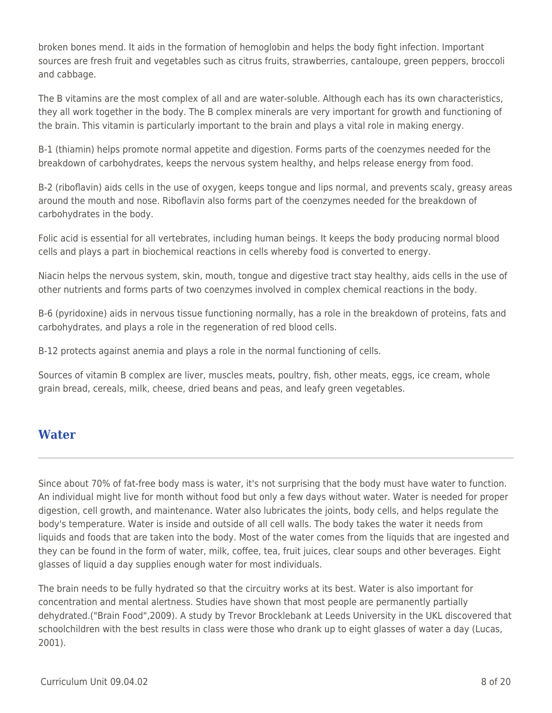broken bones mend. It aids in the formation of hemoglobin and helps the body fight infection. Important sources are fresh fruit and vegetables such as citrus fruits, strawberries, cantaloupe, green peppers, broccoli and cabbage.

The B vitamins are the most complex of all and are water-soluble. Although each has its own characteristics, they all work together in the body. The B complex minerals are very important for growth and functioning of the brain. This vitamin is particularly important to the brain and plays a vital role in making energy.

B-1 (thiamin) helps promote normal appetite and digestion. Forms parts of the coenzymes needed for the breakdown of carbohydrates, keeps the nervous system healthy, and helps release energy from food.

B-2 (riboflavin) aids cells in the use of oxygen, keeps tongue and lips normal, and prevents scaly, greasy areas around the mouth and nose. Riboflavin also forms part of the coenzymes needed for the breakdown of carbohydrates in the body.

Folic acid is essential for all vertebrates, including human beings. It keeps the body producing normal blood cells and plays a part in biochemical reactions in cells whereby food is converted to energy.

Niacin helps the nervous system, skin, mouth, tongue and digestive tract stay healthy, aids cells in the use of other nutrients and forms parts of two coenzymes involved in complex chemical reactions in the body.

B-6 (pyridoxine) aids in nervous tissue functioning normally, has a role in the breakdown of proteins, fats and carbohydrates, and plays a role in the regeneration of red blood cells.

B-12 protects against anemia and plays a role in the normal functioning of cells.

Sources of vitamin B complex are liver, muscles meats, poultry, fish, other meats, eggs, ice cream, whole grain bread, cereals, milk, cheese, dried beans and peas, and leafy green vegetables.

### **Water**

Since about 70% of fat-free body mass is water, it's not surprising that the body must have water to function. An individual might live for month without food but only a few days without water. Water is needed for proper digestion, cell growth, and maintenance. Water also lubricates the joints, body cells, and helps regulate the body's temperature. Water is inside and outside of all cell walls. The body takes the water it needs from liquids and foods that are taken into the body. Most of the water comes from the liquids that are ingested and they can be found in the form of water, milk, coffee, tea, fruit juices, clear soups and other beverages. Eight glasses of liquid a day supplies enough water for most individuals.

The brain needs to be fully hydrated so that the circuitry works at its best. Water is also important for concentration and mental alertness. Studies have shown that most people are permanently partially dehydrated.("Brain Food",2009). A study by Trevor Brocklebank at Leeds University in the UKL discovered that schoolchildren with the best results in class were those who drank up to eight glasses of water a day (Lucas, 2001).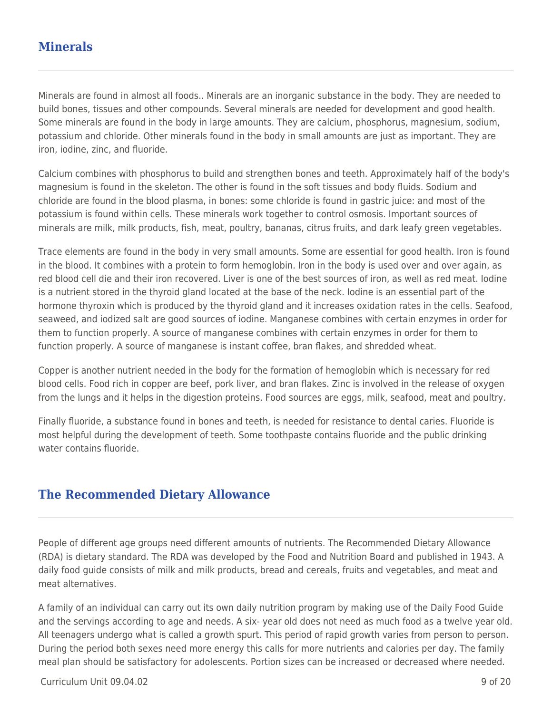## **Minerals**

Minerals are found in almost all foods.. Minerals are an inorganic substance in the body. They are needed to build bones, tissues and other compounds. Several minerals are needed for development and good health. Some minerals are found in the body in large amounts. They are calcium, phosphorus, magnesium, sodium, potassium and chloride. Other minerals found in the body in small amounts are just as important. They are iron, iodine, zinc, and fluoride.

Calcium combines with phosphorus to build and strengthen bones and teeth. Approximately half of the body's magnesium is found in the skeleton. The other is found in the soft tissues and body fluids. Sodium and chloride are found in the blood plasma, in bones: some chloride is found in gastric juice: and most of the potassium is found within cells. These minerals work together to control osmosis. Important sources of minerals are milk, milk products, fish, meat, poultry, bananas, citrus fruits, and dark leafy green vegetables.

Trace elements are found in the body in very small amounts. Some are essential for good health. Iron is found in the blood. It combines with a protein to form hemoglobin. Iron in the body is used over and over again, as red blood cell die and their iron recovered. Liver is one of the best sources of iron, as well as red meat. Iodine is a nutrient stored in the thyroid gland located at the base of the neck. Iodine is an essential part of the hormone thyroxin which is produced by the thyroid gland and it increases oxidation rates in the cells. Seafood, seaweed, and iodized salt are good sources of iodine. Manganese combines with certain enzymes in order for them to function properly. A source of manganese combines with certain enzymes in order for them to function properly. A source of manganese is instant coffee, bran flakes, and shredded wheat.

Copper is another nutrient needed in the body for the formation of hemoglobin which is necessary for red blood cells. Food rich in copper are beef, pork liver, and bran flakes. Zinc is involved in the release of oxygen from the lungs and it helps in the digestion proteins. Food sources are eggs, milk, seafood, meat and poultry.

Finally fluoride, a substance found in bones and teeth, is needed for resistance to dental caries. Fluoride is most helpful during the development of teeth. Some toothpaste contains fluoride and the public drinking water contains fluoride.

### **The Recommended Dietary Allowance**

People of different age groups need different amounts of nutrients. The Recommended Dietary Allowance (RDA) is dietary standard. The RDA was developed by the Food and Nutrition Board and published in 1943. A daily food guide consists of milk and milk products, bread and cereals, fruits and vegetables, and meat and meat alternatives.

A family of an individual can carry out its own daily nutrition program by making use of the Daily Food Guide and the servings according to age and needs. A six- year old does not need as much food as a twelve year old. All teenagers undergo what is called a growth spurt. This period of rapid growth varies from person to person. During the period both sexes need more energy this calls for more nutrients and calories per day. The family meal plan should be satisfactory for adolescents. Portion sizes can be increased or decreased where needed.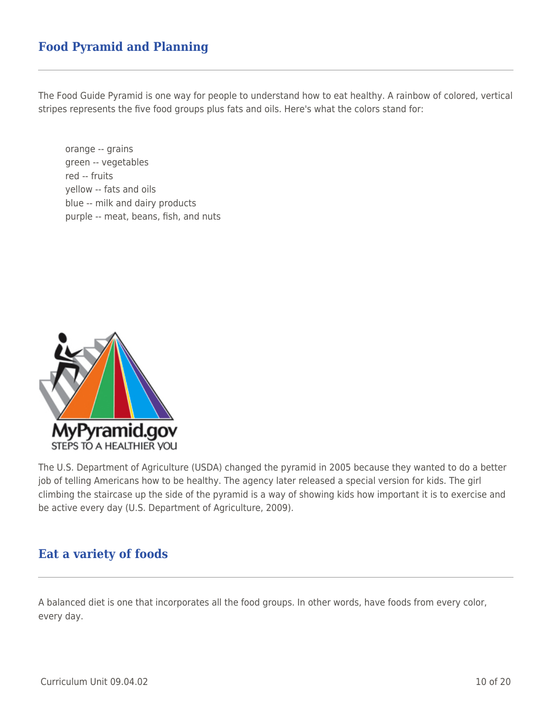## **Food Pyramid and Planning**

The Food Guide Pyramid is one way for people to understand how to eat healthy. A rainbow of colored, vertical stripes represents the five food groups plus fats and oils. Here's what the colors stand for:

orange -- grains green -- vegetables red -- fruits yellow -- fats and oils blue -- milk and dairy products purple -- meat, beans, fish, and nuts



The U.S. Department of Agriculture (USDA) changed the pyramid in 2005 because they wanted to do a better job of telling Americans how to be healthy. The agency later released a special version for kids. The girl climbing the staircase up the side of the pyramid is a way of showing kids how important it is to exercise and be active every day (U.S. Department of Agriculture, 2009).

#### **Eat a variety of foods**

A balanced diet is one that incorporates all the food groups. In other words, have foods from every color, every day.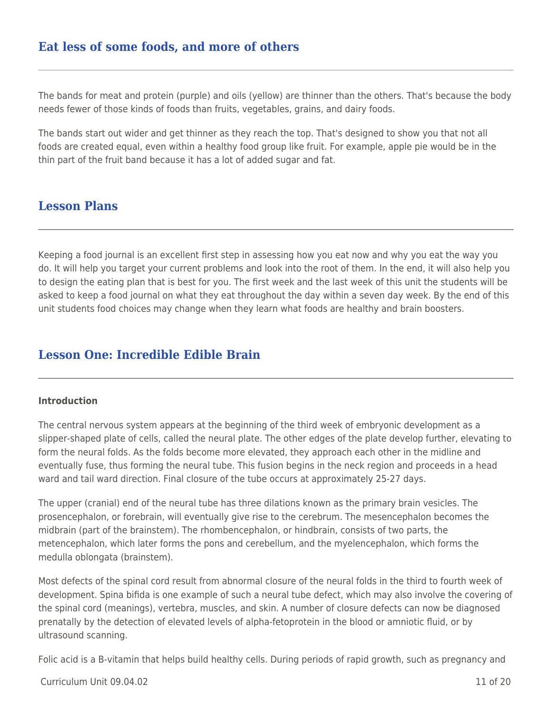### **Eat less of some foods, and more of others**

The bands for meat and protein (purple) and oils (yellow) are thinner than the others. That's because the body needs fewer of those kinds of foods than fruits, vegetables, grains, and dairy foods.

The bands start out wider and get thinner as they reach the top. That's designed to show you that not all foods are created equal, even within a healthy food group like fruit. For example, apple pie would be in the thin part of the fruit band because it has a lot of added sugar and fat.

#### **Lesson Plans**

Keeping a food journal is an excellent first step in assessing how you eat now and why you eat the way you do. It will help you target your current problems and look into the root of them. In the end, it will also help you to design the eating plan that is best for you. The first week and the last week of this unit the students will be asked to keep a food journal on what they eat throughout the day within a seven day week. By the end of this unit students food choices may change when they learn what foods are healthy and brain boosters.

### **Lesson One: Incredible Edible Brain**

#### **Introduction**

The central nervous system appears at the beginning of the third week of embryonic development as a slipper-shaped plate of cells, called the neural plate. The other edges of the plate develop further, elevating to form the neural folds. As the folds become more elevated, they approach each other in the midline and eventually fuse, thus forming the neural tube. This fusion begins in the neck region and proceeds in a head ward and tail ward direction. Final closure of the tube occurs at approximately 25-27 days.

The upper (cranial) end of the neural tube has three dilations known as the primary brain vesicles. The prosencephalon, or forebrain, will eventually give rise to the cerebrum. The mesencephalon becomes the midbrain (part of the brainstem). The rhombencephalon, or hindbrain, consists of two parts, the metencephalon, which later forms the pons and cerebellum, and the myelencephalon, which forms the medulla oblongata (brainstem).

Most defects of the spinal cord result from abnormal closure of the neural folds in the third to fourth week of development. Spina bifida is one example of such a neural tube defect, which may also involve the covering of the spinal cord (meanings), vertebra, muscles, and skin. A number of closure defects can now be diagnosed prenatally by the detection of elevated levels of alpha-fetoprotein in the blood or amniotic fluid, or by ultrasound scanning.

Folic acid is a B-vitamin that helps build healthy cells. During periods of rapid growth, such as pregnancy and

#### Curriculum Unit 09.04.02 11 of 20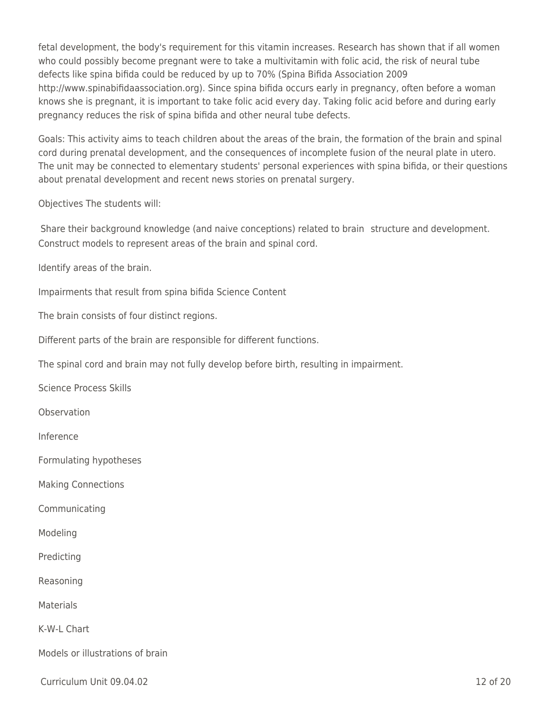fetal development, the body's requirement for this vitamin increases. Research has shown that if all women who could possibly become pregnant were to take a multivitamin with folic acid, the risk of neural tube defects like spina bifida could be reduced by up to 70% (Spina Bifida Association 2009 http://www.spinabifidaassociation.org). Since spina bifida occurs early in pregnancy, often before a woman knows she is pregnant, it is important to take folic acid every day. Taking folic acid before and during early pregnancy reduces the risk of spina bifida and other neural tube defects.

Goals: This activity aims to teach children about the areas of the brain, the formation of the brain and spinal cord during prenatal development, and the consequences of incomplete fusion of the neural plate in utero. The unit may be connected to elementary students' personal experiences with spina bifida, or their questions about prenatal development and recent news stories on prenatal surgery.

Objectives The students will:

Share their background knowledge (and naive conceptions) related to brain structure and development. Construct models to represent areas of the brain and spinal cord.

Identify areas of the brain.

Impairments that result from spina bifida Science Content

The brain consists of four distinct regions.

Different parts of the brain are responsible for different functions.

The spinal cord and brain may not fully develop before birth, resulting in impairment.

Science Process Skills

**Observation** 

Inference

Formulating hypotheses

Making Connections

Communicating

Modeling

Predicting

Reasoning

Materials

K-W-L Chart

Models or illustrations of brain

Curriculum Unit 09.04.02 12 of 20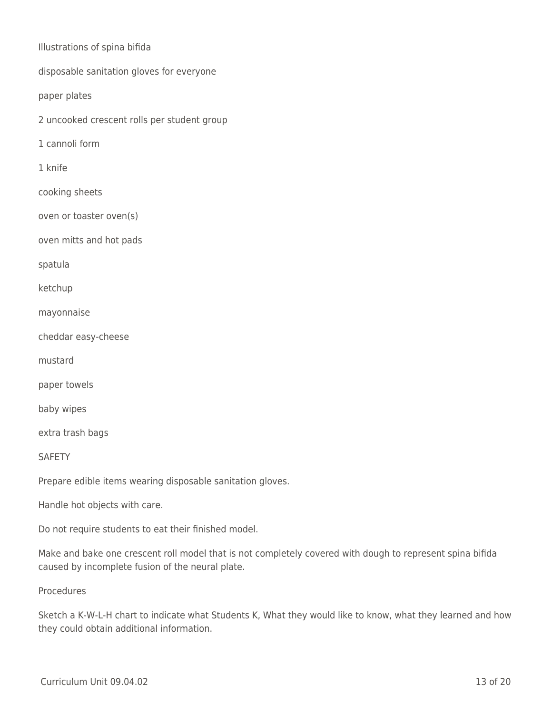Illustrations of spina bifida

disposable sanitation gloves for everyone

paper plates

2 uncooked crescent rolls per student group

1 cannoli form

1 knife

cooking sheets

oven or toaster oven(s)

oven mitts and hot pads

spatula

ketchup

mayonnaise

cheddar easy-cheese

mustard

paper towels

baby wipes

extra trash bags

**SAFETY** 

Prepare edible items wearing disposable sanitation gloves.

Handle hot objects with care.

Do not require students to eat their finished model.

Make and bake one crescent roll model that is not completely covered with dough to represent spina bifida caused by incomplete fusion of the neural plate.

Procedures

Sketch a K-W-L-H chart to indicate what Students K, What they would like to know, what they learned and how they could obtain additional information.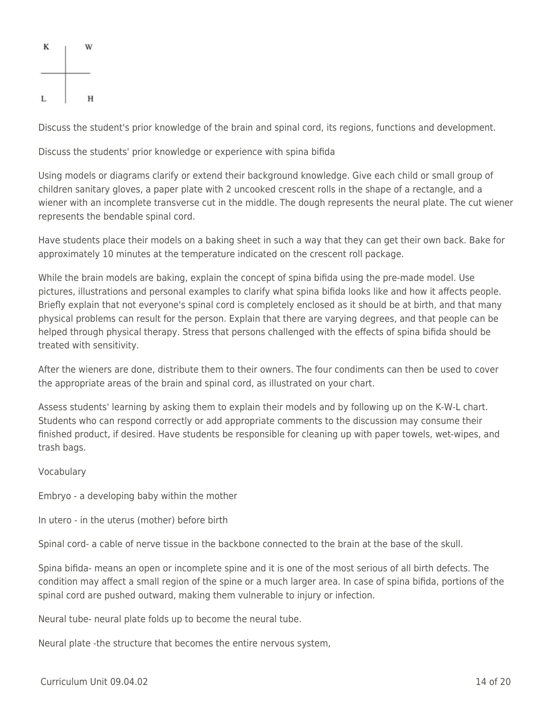

Discuss the student's prior knowledge of the brain and spinal cord, its regions, functions and development.

Discuss the students' prior knowledge or experience with spina bifida

Using models or diagrams clarify or extend their background knowledge. Give each child or small group of children sanitary gloves, a paper plate with 2 uncooked crescent rolls in the shape of a rectangle, and a wiener with an incomplete transverse cut in the middle. The dough represents the neural plate. The cut wiener represents the bendable spinal cord.

Have students place their models on a baking sheet in such a way that they can get their own back. Bake for approximately 10 minutes at the temperature indicated on the crescent roll package.

While the brain models are baking, explain the concept of spina bifida using the pre-made model. Use pictures, illustrations and personal examples to clarify what spina bifida looks like and how it affects people. Briefly explain that not everyone's spinal cord is completely enclosed as it should be at birth, and that many physical problems can result for the person. Explain that there are varying degrees, and that people can be helped through physical therapy. Stress that persons challenged with the effects of spina bifida should be treated with sensitivity.

After the wieners are done, distribute them to their owners. The four condiments can then be used to cover the appropriate areas of the brain and spinal cord, as illustrated on your chart.

Assess students' learning by asking them to explain their models and by following up on the K-W-L chart. Students who can respond correctly or add appropriate comments to the discussion may consume their finished product, if desired. Have students be responsible for cleaning up with paper towels, wet-wipes, and trash bags.

#### Vocabulary

Embryo - a developing baby within the mother

In utero - in the uterus (mother) before birth

Spinal cord- a cable of nerve tissue in the backbone connected to the brain at the base of the skull.

Spina bifida- means an open or incomplete spine and it is one of the most serious of all birth defects. The condition may affect a small region of the spine or a much larger area. In case of spina bifida, portions of the spinal cord are pushed outward, making them vulnerable to injury or infection.

Neural tube- neural plate folds up to become the neural tube.

Neural plate -the structure that becomes the entire nervous system,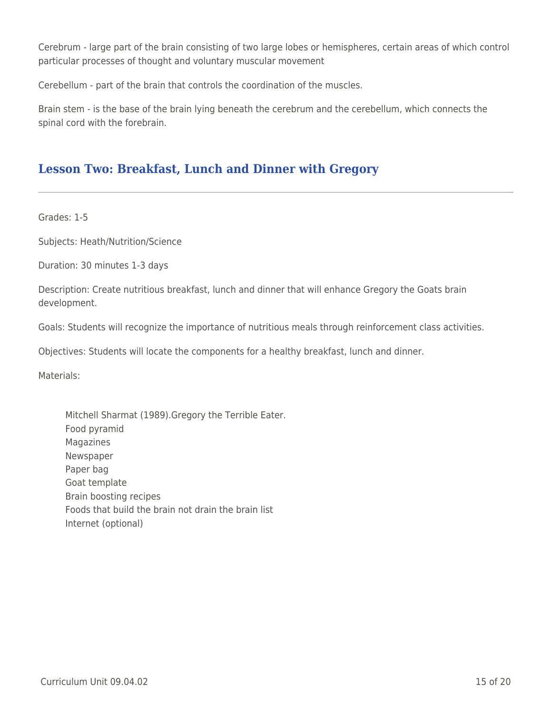Cerebrum - large part of the brain consisting of two large lobes or hemispheres, certain areas of which control particular processes of thought and voluntary muscular movement

Cerebellum - part of the brain that controls the coordination of the muscles.

Brain stem - is the base of the brain lying beneath the cerebrum and the cerebellum, which connects the spinal cord with the forebrain.

## **Lesson Two: Breakfast, Lunch and Dinner with Gregory**

Grades: 1-5

Subjects: Heath/Nutrition/Science

Duration: 30 minutes 1-3 days

Description: Create nutritious breakfast, lunch and dinner that will enhance Gregory the Goats brain development.

Goals: Students will recognize the importance of nutritious meals through reinforcement class activities.

Objectives: Students will locate the components for a healthy breakfast, lunch and dinner.

Materials:

Mitchell Sharmat (1989).Gregory the Terrible Eater. Food pyramid Magazines Newspaper Paper bag Goat template Brain boosting recipes Foods that build the brain not drain the brain list Internet (optional)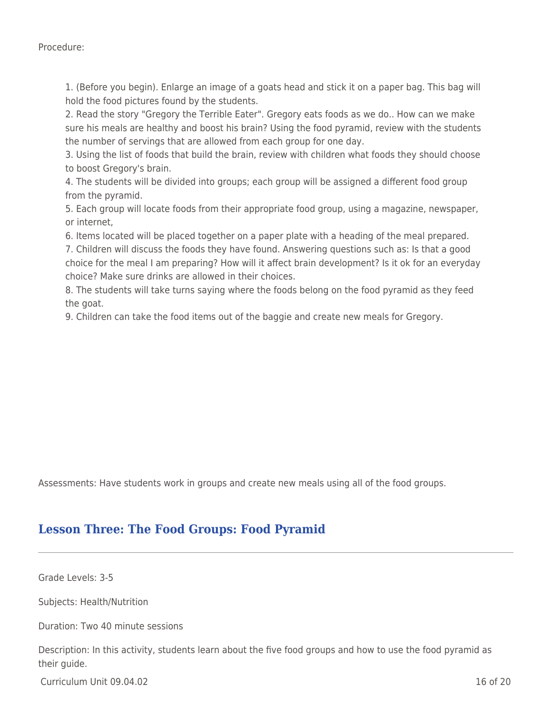Procedure:

1. (Before you begin). Enlarge an image of a goats head and stick it on a paper bag. This bag will hold the food pictures found by the students.

2. Read the story "Gregory the Terrible Eater". Gregory eats foods as we do.. How can we make sure his meals are healthy and boost his brain? Using the food pyramid, review with the students the number of servings that are allowed from each group for one day.

3. Using the list of foods that build the brain, review with children what foods they should choose to boost Gregory's brain.

4. The students will be divided into groups; each group will be assigned a different food group from the pyramid.

5. Each group will locate foods from their appropriate food group, using a magazine, newspaper, or internet,

6. Items located will be placed together on a paper plate with a heading of the meal prepared.

7. Children will discuss the foods they have found. Answering questions such as: Is that a good choice for the meal I am preparing? How will it affect brain development? Is it ok for an everyday choice? Make sure drinks are allowed in their choices.

8. The students will take turns saying where the foods belong on the food pyramid as they feed the goat.

9. Children can take the food items out of the baggie and create new meals for Gregory.

Assessments: Have students work in groups and create new meals using all of the food groups.

## **Lesson Three: The Food Groups: Food Pyramid**

Grade Levels: 3-5

Subjects: Health/Nutrition

Duration: Two 40 minute sessions

Description: In this activity, students learn about the five food groups and how to use the food pyramid as their guide.

 $C$ urriculum Unit 09.04.02 16 of 20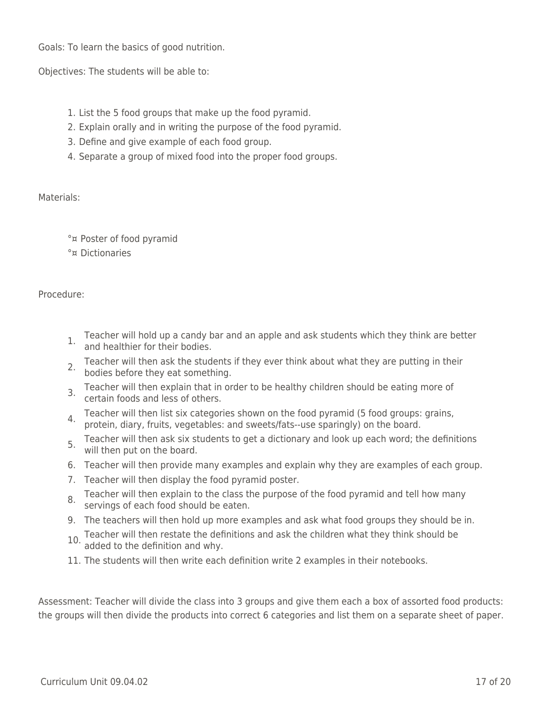Goals: To learn the basics of good nutrition.

Objectives: The students will be able to:

- 1. List the 5 food groups that make up the food pyramid.
- 2. Explain orally and in writing the purpose of the food pyramid.
- 3. Define and give example of each food group.
- 4. Separate a group of mixed food into the proper food groups.

Materials:

°¤ Poster of food pyramid

°¤ Dictionaries

Procedure:

- 1. Teacher will hold up a candy bar and an apple and ask students which they think are better and healthier for their bodies.
- 2. Teacher will then ask the students if they ever think about what they are putting in their bodies before they eat something.
- 3. Teacher will then explain that in order to be healthy children should be eating more of certain foods and less of others.
- 4. Teacher will then list six categories shown on the food pyramid (5 food groups: grains, protein, diary, fruits, vegetables: and sweets/fats--use sparingly) on the board.
- 5. Teacher will then ask six students to get a dictionary and look up each word; the definitions 5. Feather will then put on the board.
- 6. Teacher will then provide many examples and explain why they are examples of each group.
- 7. Teacher will then display the food pyramid poster.
- 8. Teacher will then explain to the class the purpose of the food pyramid and tell how many servings of each food should be eaten.
- 9. The teachers will then hold up more examples and ask what food groups they should be in.
- 10. Teacher will then restate the definitions and ask the children what they think should be added to the definition and why.
- 11. The students will then write each definition write 2 examples in their notebooks.

Assessment: Teacher will divide the class into 3 groups and give them each a box of assorted food products: the groups will then divide the products into correct 6 categories and list them on a separate sheet of paper.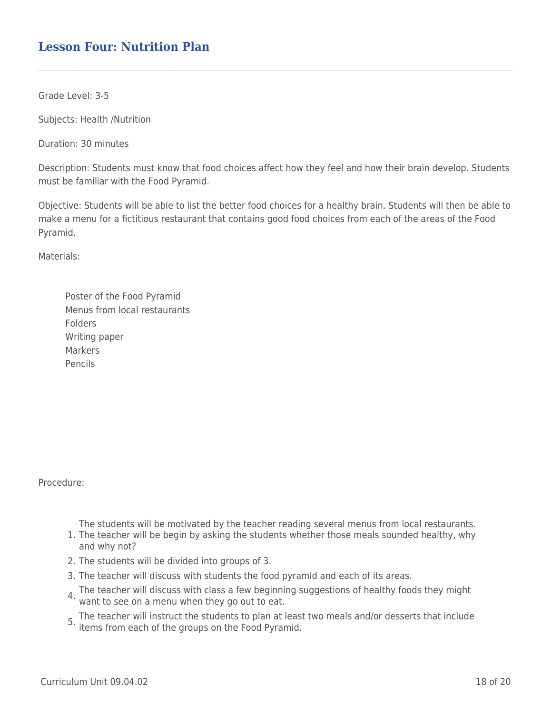### **Lesson Four: Nutrition Plan**

Grade Level: 3-5

Subjects: Health /Nutrition

Duration: 30 minutes

Description: Students must know that food choices affect how they feel and how their brain develop. Students must be familiar with the Food Pyramid.

Objective: Students will be able to list the better food choices for a healthy brain. Students will then be able to make a menu for a fictitious restaurant that contains good food choices from each of the areas of the Food Pyramid.

Materials:

| Poster of the Food Pyramid   |
|------------------------------|
| Menus from local restaurants |
| Folders                      |
| Writing paper                |
| Markers                      |
| Pencils                      |

Procedure:

The students will be motivated by the teacher reading several menus from local restaurants.

- 1. The teacher will be begin by asking the students whether those meals sounded healthy, why and why not?
- 2. The students will be divided into groups of 3.
- 3. The teacher will discuss with students the food pyramid and each of its areas.
- 4. The teacher will discuss with class a few beginning suggestions of healthy foods they might want to see on a menu when they go out to eat.

5. The teacher will instruct the students to plan at least two meals and/or desserts that include<br><sup>5.</sup> items from each of the groups on the Food Pyramid.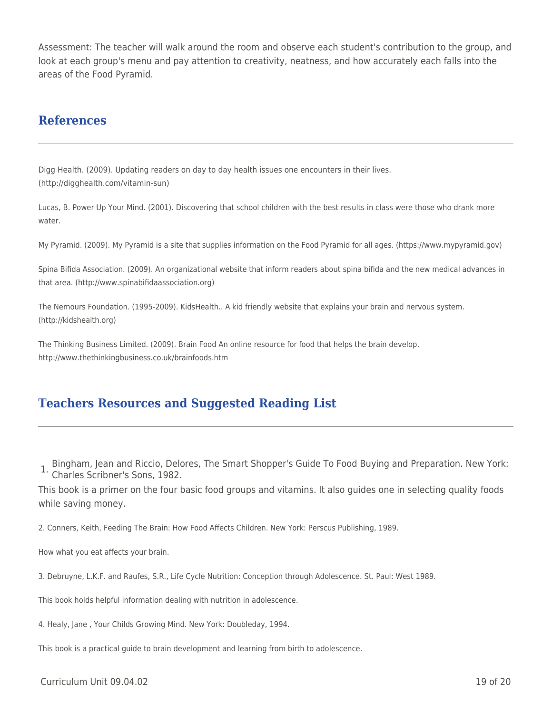Assessment: The teacher will walk around the room and observe each student's contribution to the group, and look at each group's menu and pay attention to creativity, neatness, and how accurately each falls into the areas of the Food Pyramid.

#### **References**

Digg Health. (2009). Updating readers on day to day health issues one encounters in their lives. (http://digghealth.com/vitamin-sun)

Lucas, B. Power Up Your Mind. (2001). Discovering that school children with the best results in class were those who drank more water.

My Pyramid. (2009). My Pyramid is a site that supplies information on the Food Pyramid for all ages. (https://www.mypyramid.gov)

Spina Bifida Association. (2009). An organizational website that inform readers about spina bifida and the new medical advances in that area. (http://www.spinabifidaassociation.org)

The Nemours Foundation. (1995-2009). KidsHealth.. A kid friendly website that explains your brain and nervous system. (http://kidshealth.org)

The Thinking Business Limited. (2009). Brain Food An online resource for food that helps the brain develop. http://www.thethinkingbusiness.co.uk/brainfoods.htm

### **Teachers Resources and Suggested Reading List**

1. Bingham, Jean and Riccio, Delores, The Smart Shopper's Guide To Food Buying and Preparation. New York: Charles Scribner's Sons, 1982.

This book is a primer on the four basic food groups and vitamins. It also guides one in selecting quality foods while saving money.

2. Conners, Keith, Feeding The Brain: How Food Affects Children. New York: Perscus Publishing, 1989.

How what you eat affects your brain.

3. Debruyne, L.K.F. and Raufes, S.R., Life Cycle Nutrition: Conception through Adolescence. St. Paul: West 1989.

This book holds helpful information dealing with nutrition in adolescence.

4. Healy, Jane , Your Childs Growing Mind. New York: Doubleday, 1994.

This book is a practical guide to brain development and learning from birth to adolescence.

 $C$ urriculum Unit 09.04.02 19 of 20